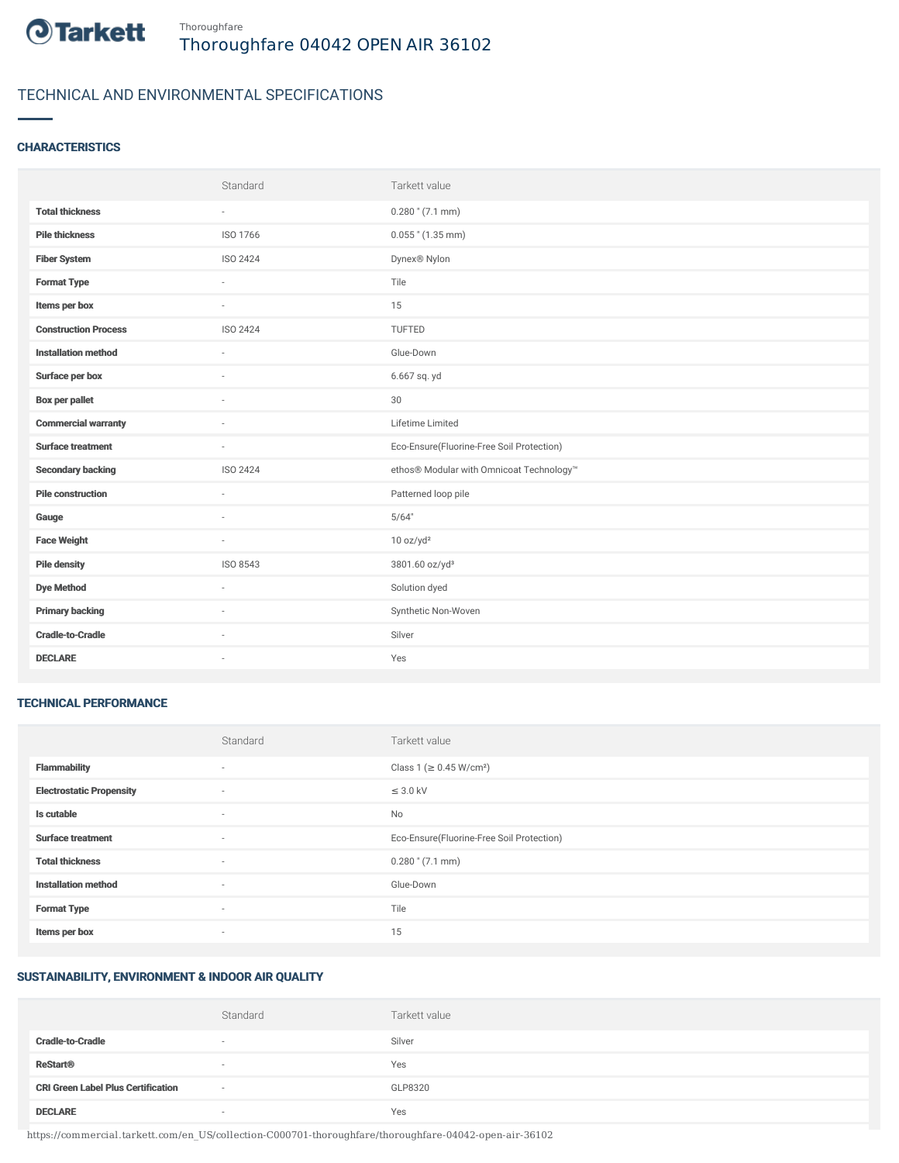

# TECHNICAL AND ENVIRONMENTAL SPECIFICATIONS

# **CHARACTERISTICS**

|                             | Standard                 | Tarkett value                             |
|-----------------------------|--------------------------|-------------------------------------------|
| <b>Total thickness</b>      | $\sim$                   | $0.280$ " (7.1 mm)                        |
| <b>Pile thickness</b>       | ISO 1766                 | $0.055$ " (1.35 mm)                       |
| <b>Fiber System</b>         | ISO 2424                 | Dynex® Nylon                              |
| <b>Format Type</b>          | $\sim$                   | Tile                                      |
| Items per box               | $\sim$                   | 15                                        |
| <b>Construction Process</b> | <b>ISO 2424</b>          | TUFTED                                    |
| <b>Installation method</b>  | ×                        | Glue-Down                                 |
| Surface per box             | $\sim$                   | 6.667 sq. yd                              |
| <b>Box per pallet</b>       | $\sim$                   | 30                                        |
| <b>Commercial warranty</b>  |                          | Lifetime Limited                          |
| <b>Surface treatment</b>    | $\sim$                   | Eco-Ensure(Fluorine-Free Soil Protection) |
| <b>Secondary backing</b>    | <b>ISO 2424</b>          | ethos® Modular with Omnicoat Technology™  |
| <b>Pile construction</b>    | ×.                       | Patterned loop pile                       |
| Gauge                       |                          | 5/64"                                     |
| <b>Face Weight</b>          | $\overline{\phantom{a}}$ | 10 oz/yd <sup>2</sup>                     |
| <b>Pile density</b>         | ISO 8543                 | 3801.60 oz/yd <sup>3</sup>                |
| <b>Dye Method</b>           | $\sim$                   | Solution dyed                             |
| <b>Primary backing</b>      |                          | Synthetic Non-Woven                       |
| <b>Cradle-to-Cradle</b>     | ×                        | Silver                                    |
| <b>DECLARE</b>              | $\sim$                   | Yes                                       |

#### TECHNICAL PERFORMANCE

|                                 | Standard                 | Tarkett value                             |
|---------------------------------|--------------------------|-------------------------------------------|
| <b>Flammability</b>             | ٠                        | Class 1 (≥ 0.45 W/cm <sup>2</sup> )       |
| <b>Electrostatic Propensity</b> | $\sim$                   | $\leq$ 3.0 kV                             |
| Is cutable                      | $\overline{\phantom{a}}$ | No                                        |
| <b>Surface treatment</b>        | $\sim$                   | Eco-Ensure(Fluorine-Free Soil Protection) |
| <b>Total thickness</b>          | $\sim$                   | $0.280$ " (7.1 mm)                        |
| <b>Installation method</b>      | $\sim$                   | Glue-Down                                 |
| <b>Format Type</b>              | $\sim$                   | Tile                                      |
| Items per box                   | ٠                        | 15                                        |

## SUSTAINABILITY, ENVIRONMENT & INDOOR AIR QUALITY

|                                           | Standard                 | Tarkett value |
|-------------------------------------------|--------------------------|---------------|
| <b>Cradle-to-Cradle</b>                   | $\overline{\phantom{a}}$ | Silver        |
| <b>ReStart®</b>                           | $\sim$                   | Yes           |
| <b>CRI Green Label Plus Certification</b> | $\sim$                   | GLP8320       |
| <b>DECLARE</b>                            |                          | Yes           |

https://commercial.tarkett.com/en\_US/collection-C000701-thoroughfare/thoroughfare-04042-open-air-36102